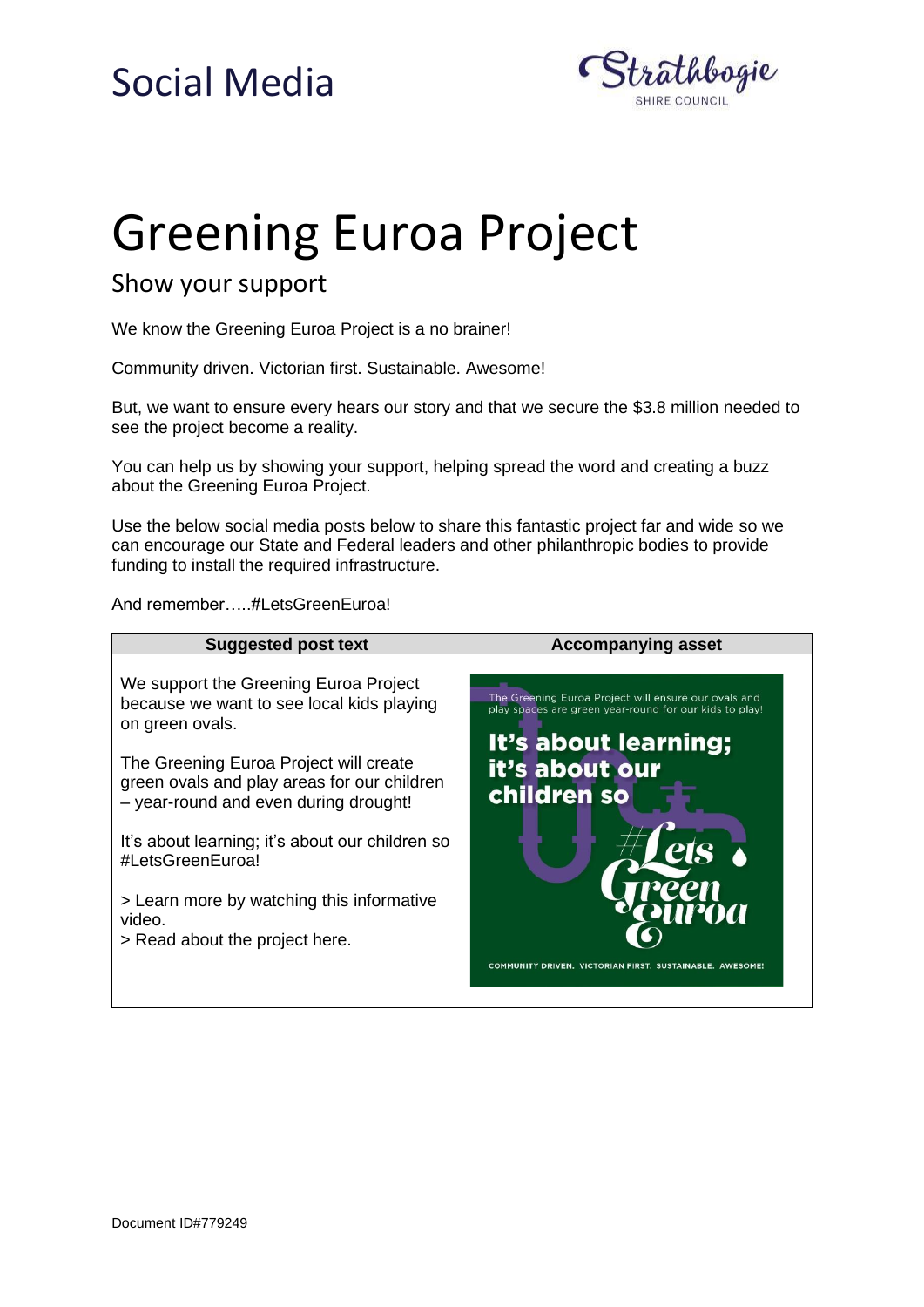#### Social Media



# Greening Euroa Project

#### Show your support

We know the Greening Euroa Project is a no brainer!

Community driven. Victorian first. Sustainable. Awesome!

But, we want to ensure every hears our story and that we secure the \$3.8 million needed to see the project become a reality.

You can help us by showing your support, helping spread the word and creating a buzz about the Greening Euroa Project.

Use the below social media posts below to share this fantastic project far and wide so we can encourage our State and Federal leaders and other philanthropic bodies to provide funding to install the required infrastructure.

And remember…..#LetsGreenEuroa!

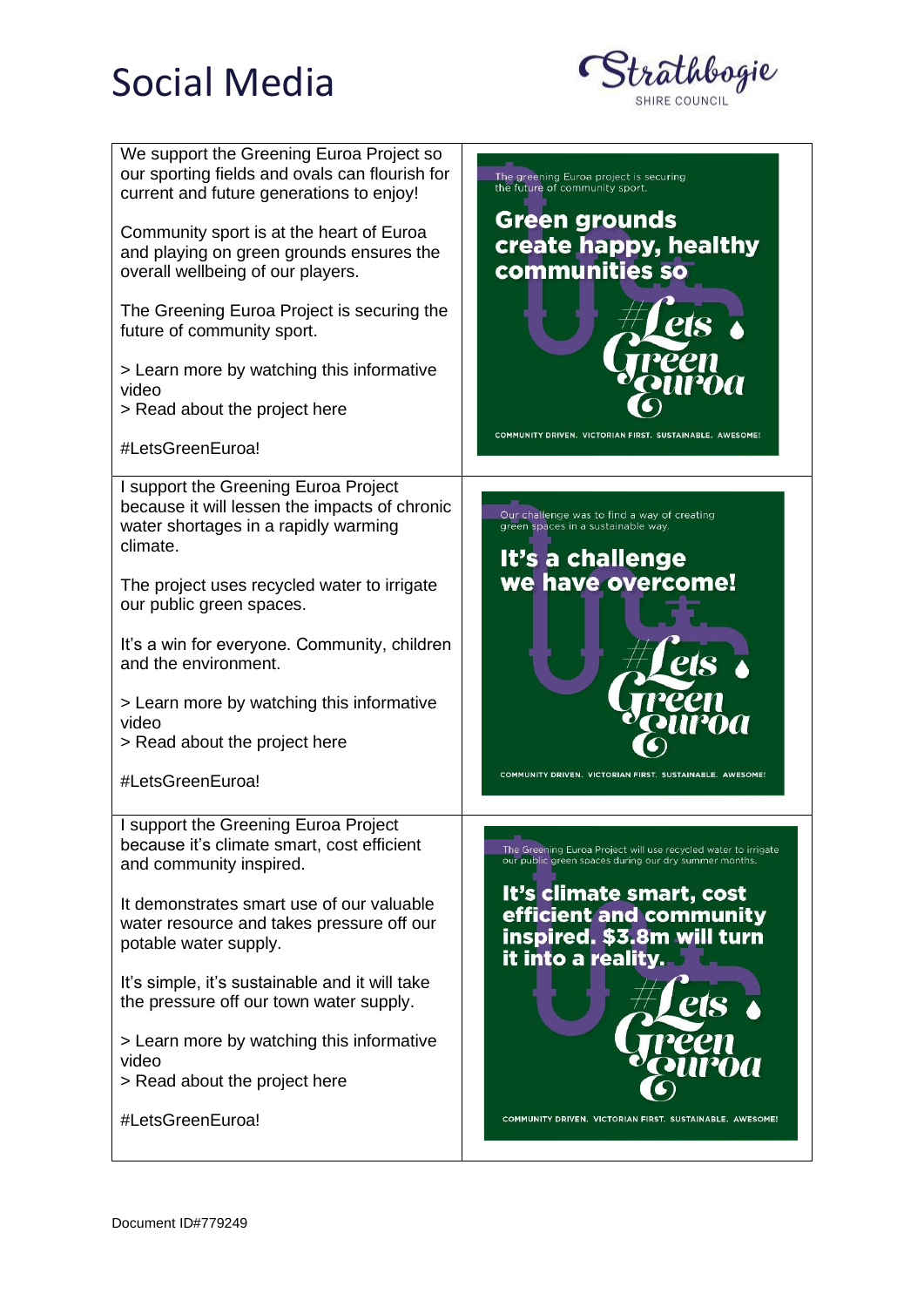### Social Media